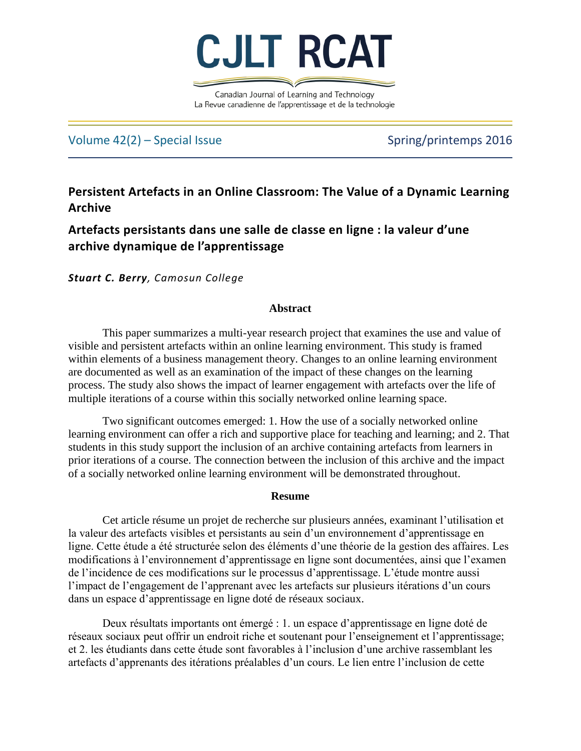

Canadian Journal of Learning and Technology La Revue canadienne de l'apprentissage et de la technologie

# Volume 42(2) – Special Issue Spring/printemps 2016

# **Persistent Artefacts in an Online Classroom: The Value of a Dynamic Learning Archive**

**Artefacts persistants dans une salle de classe en ligne : la valeur d'une archive dynamique de l'apprentissage**

*Stuart C. Berry, Camosun College*

# **Abstract**

This paper summarizes a multi-year research project that examines the use and value of visible and persistent artefacts within an online learning environment. This study is framed within elements of a business management theory. Changes to an online learning environment are documented as well as an examination of the impact of these changes on the learning process. The study also shows the impact of learner engagement with artefacts over the life of multiple iterations of a course within this socially networked online learning space.

Two significant outcomes emerged: 1. How the use of a socially networked online learning environment can offer a rich and supportive place for teaching and learning; and 2. That students in this study support the inclusion of an archive containing artefacts from learners in prior iterations of a course. The connection between the inclusion of this archive and the impact of a socially networked online learning environment will be demonstrated throughout.

#### **Resume**

Cet article résume un projet de recherche sur plusieurs années, examinant l'utilisation et la valeur des artefacts visibles et persistants au sein d'un environnement d'apprentissage en ligne. Cette étude a été structurée selon des éléments d'une théorie de la gestion des affaires. Les modifications à l'environnement d'apprentissage en ligne sont documentées, ainsi que l'examen de l'incidence de ces modifications sur le processus d'apprentissage. L'étude montre aussi l'impact de l'engagement de l'apprenant avec les artefacts sur plusieurs itérations d'un cours dans un espace d'apprentissage en ligne doté de réseaux sociaux.

Deux résultats importants ont émergé : 1. un espace d'apprentissage en ligne doté de réseaux sociaux peut offrir un endroit riche et soutenant pour l'enseignement et l'apprentissage; et 2. les étudiants dans cette étude sont favorables à l'inclusion d'une archive rassemblant les artefacts d'apprenants des itérations préalables d'un cours. Le lien entre l'inclusion de cette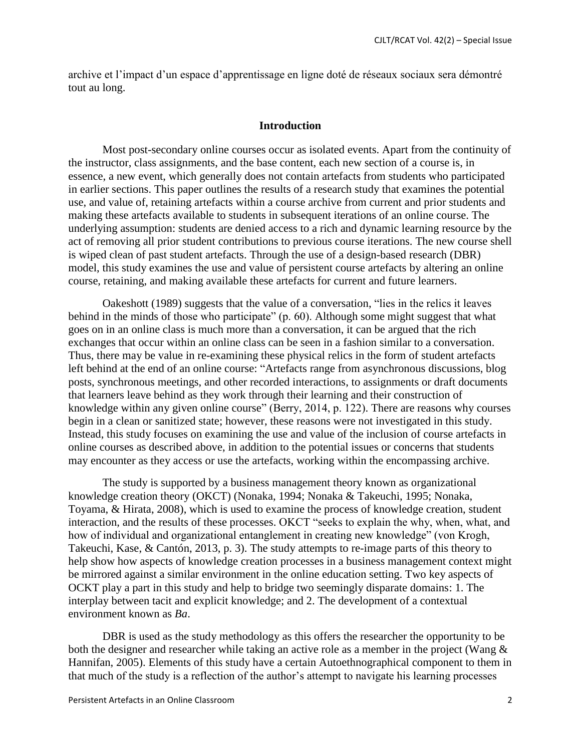archive et l'impact d'un espace d'apprentissage en ligne doté de réseaux sociaux sera démontré tout au long.

#### **Introduction**

Most post-secondary online courses occur as isolated events. Apart from the continuity of the instructor, class assignments, and the base content, each new section of a course is, in essence, a new event, which generally does not contain artefacts from students who participated in earlier sections. This paper outlines the results of a research study that examines the potential use, and value of, retaining artefacts within a course archive from current and prior students and making these artefacts available to students in subsequent iterations of an online course. The underlying assumption: students are denied access to a rich and dynamic learning resource by the act of removing all prior student contributions to previous course iterations. The new course shell is wiped clean of past student artefacts. Through the use of a design-based research (DBR) model, this study examines the use and value of persistent course artefacts by altering an online course, retaining, and making available these artefacts for current and future learners.

Oakeshott (1989) suggests that the value of a conversation, "lies in the relics it leaves behind in the minds of those who participate" (p. 60). Although some might suggest that what goes on in an online class is much more than a conversation, it can be argued that the rich exchanges that occur within an online class can be seen in a fashion similar to a conversation. Thus, there may be value in re-examining these physical relics in the form of student artefacts left behind at the end of an online course: "Artefacts range from asynchronous discussions, blog posts, synchronous meetings, and other recorded interactions, to assignments or draft documents that learners leave behind as they work through their learning and their construction of knowledge within any given online course" (Berry, 2014, p. 122). There are reasons why courses begin in a clean or sanitized state; however, these reasons were not investigated in this study. Instead, this study focuses on examining the use and value of the inclusion of course artefacts in online courses as described above, in addition to the potential issues or concerns that students may encounter as they access or use the artefacts, working within the encompassing archive.

The study is supported by a business management theory known as organizational knowledge creation theory (OKCT) (Nonaka, 1994; Nonaka & Takeuchi, 1995; Nonaka, Toyama, & Hirata, 2008), which is used to examine the process of knowledge creation, student interaction, and the results of these processes. OKCT "seeks to explain the why, when, what, and how of individual and organizational entanglement in creating new knowledge" (von Krogh, Takeuchi, Kase, & Cantón, 2013, p. 3). The study attempts to re-image parts of this theory to help show how aspects of knowledge creation processes in a business management context might be mirrored against a similar environment in the online education setting. Two key aspects of OCKT play a part in this study and help to bridge two seemingly disparate domains: 1. The interplay between tacit and explicit knowledge; and 2. The development of a contextual environment known as *Ba*.

DBR is used as the study methodology as this offers the researcher the opportunity to be both the designer and researcher while taking an active role as a member in the project (Wang & Hannifan, 2005). Elements of this study have a certain Autoethnographical component to them in that much of the study is a reflection of the author's attempt to navigate his learning processes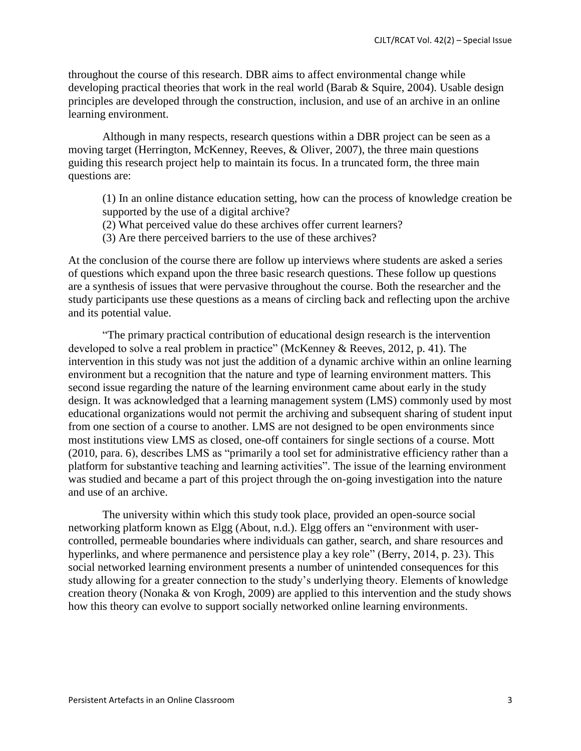throughout the course of this research. DBR aims to affect environmental change while developing practical theories that work in the real world (Barab & Squire, 2004). Usable design principles are developed through the construction, inclusion, and use of an archive in an online learning environment.

Although in many respects, research questions within a DBR project can be seen as a moving target (Herrington, McKenney, Reeves, & Oliver, 2007), the three main questions guiding this research project help to maintain its focus. In a truncated form, the three main questions are:

(1) In an online distance education setting, how can the process of knowledge creation be supported by the use of a digital archive?

- (2) What perceived value do these archives offer current learners?
- (3) Are there perceived barriers to the use of these archives?

At the conclusion of the course there are follow up interviews where students are asked a series of questions which expand upon the three basic research questions. These follow up questions are a synthesis of issues that were pervasive throughout the course. Both the researcher and the study participants use these questions as a means of circling back and reflecting upon the archive and its potential value.

"The primary practical contribution of educational design research is the intervention developed to solve a real problem in practice" (McKenney & Reeves, 2012, p. 41). The intervention in this study was not just the addition of a dynamic archive within an online learning environment but a recognition that the nature and type of learning environment matters. This second issue regarding the nature of the learning environment came about early in the study design. It was acknowledged that a learning management system (LMS) commonly used by most educational organizations would not permit the archiving and subsequent sharing of student input from one section of a course to another. LMS are not designed to be open environments since most institutions view LMS as closed, one-off containers for single sections of a course. Mott (2010, para. 6), describes LMS as "primarily a tool set for administrative efficiency rather than a platform for substantive teaching and learning activities". The issue of the learning environment was studied and became a part of this project through the on-going investigation into the nature and use of an archive.

The university within which this study took place, provided an open-source social networking platform known as Elgg (About, n.d.). Elgg offers an "environment with usercontrolled, permeable boundaries where individuals can gather, search, and share resources and hyperlinks, and where permanence and persistence play a key role" (Berry, 2014, p. 23). This social networked learning environment presents a number of unintended consequences for this study allowing for a greater connection to the study's underlying theory. Elements of knowledge creation theory (Nonaka & von Krogh, 2009) are applied to this intervention and the study shows how this theory can evolve to support socially networked online learning environments.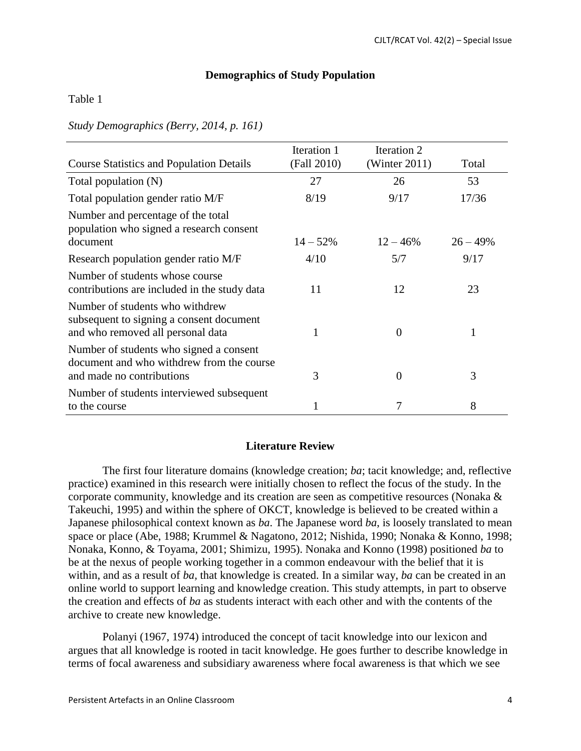# **Demographics of Study Population**

Table 1

*Study Demographics (Berry, 2014, p. 161)*

| <b>Course Statistics and Population Details</b>                                                                   | Iteration 1<br>(Fall 2010) | Iteration 2<br>(Winter $2011$ ) | Total       |
|-------------------------------------------------------------------------------------------------------------------|----------------------------|---------------------------------|-------------|
| Total population (N)                                                                                              | 27                         | 26                              | 53          |
| Total population gender ratio M/F                                                                                 | 8/19                       | 9/17                            | 17/36       |
| Number and percentage of the total<br>population who signed a research consent<br>document                        | $14 - 52%$                 | $12 - 46%$                      | $26 - 49\%$ |
| Research population gender ratio M/F                                                                              | 4/10                       | 5/7                             | 9/17        |
| Number of students whose course<br>contributions are included in the study data                                   | 11                         | 12                              | 23          |
| Number of students who withdrew<br>subsequent to signing a consent document<br>and who removed all personal data  | 1                          | $\Omega$                        |             |
| Number of students who signed a consent<br>document and who withdrew from the course<br>and made no contributions | 3                          | $_{0}$                          | 3           |
| Number of students interviewed subsequent<br>to the course                                                        |                            |                                 | 8           |

#### **Literature Review**

The first four literature domains (knowledge creation; *ba*; tacit knowledge; and, reflective practice) examined in this research were initially chosen to reflect the focus of the study. In the corporate community, knowledge and its creation are seen as competitive resources (Nonaka & Takeuchi, 1995) and within the sphere of OKCT, knowledge is believed to be created within a Japanese philosophical context known as *ba*. The Japanese word *ba*, is loosely translated to mean space or place (Abe, 1988; Krummel & Nagatono, 2012; Nishida, 1990; Nonaka & Konno, 1998; Nonaka, Konno, & Toyama, 2001; Shimizu, 1995). Nonaka and Konno (1998) positioned *ba* to be at the nexus of people working together in a common endeavour with the belief that it is within, and as a result of *ba,* that knowledge is created. In a similar way, *ba* can be created in an online world to support learning and knowledge creation. This study attempts, in part to observe the creation and effects of *ba* as students interact with each other and with the contents of the archive to create new knowledge.

Polanyi (1967, 1974) introduced the concept of tacit knowledge into our lexicon and argues that all knowledge is rooted in tacit knowledge. He goes further to describe knowledge in terms of focal awareness and subsidiary awareness where focal awareness is that which we see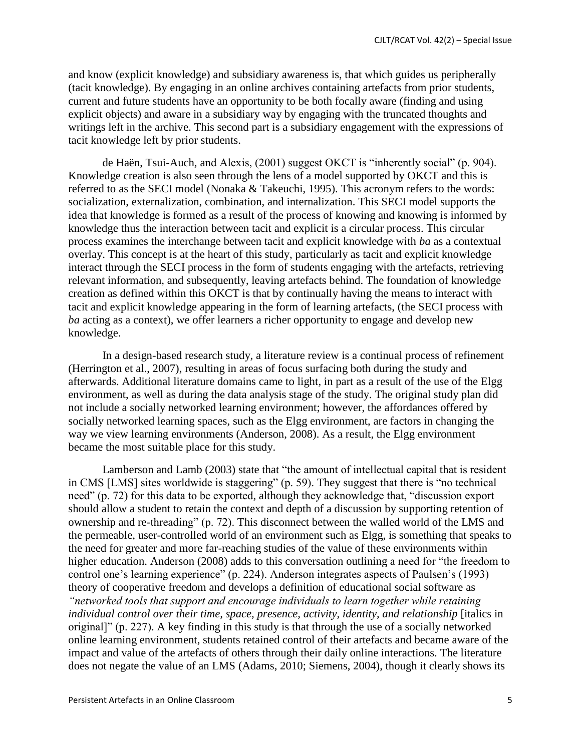and know (explicit knowledge) and subsidiary awareness is, that which guides us peripherally (tacit knowledge). By engaging in an online archives containing artefacts from prior students, current and future students have an opportunity to be both focally aware (finding and using explicit objects) and aware in a subsidiary way by engaging with the truncated thoughts and writings left in the archive. This second part is a subsidiary engagement with the expressions of tacit knowledge left by prior students.

de Haën, Tsui-Auch, and Alexis, (2001) suggest OKCT is "inherently social" (p. 904). Knowledge creation is also seen through the lens of a model supported by OKCT and this is referred to as the SECI model (Nonaka & Takeuchi, 1995). This acronym refers to the words: socialization, externalization, combination, and internalization. This SECI model supports the idea that knowledge is formed as a result of the process of knowing and knowing is informed by knowledge thus the interaction between tacit and explicit is a circular process. This circular process examines the interchange between tacit and explicit knowledge with *ba* as a contextual overlay. This concept is at the heart of this study, particularly as tacit and explicit knowledge interact through the SECI process in the form of students engaging with the artefacts, retrieving relevant information, and subsequently, leaving artefacts behind. The foundation of knowledge creation as defined within this OKCT is that by continually having the means to interact with tacit and explicit knowledge appearing in the form of learning artefacts, (the SECI process with *ba* acting as a context), we offer learners a richer opportunity to engage and develop new knowledge.

In a design-based research study, a literature review is a continual process of refinement (Herrington et al., 2007), resulting in areas of focus surfacing both during the study and afterwards. Additional literature domains came to light, in part as a result of the use of the Elgg environment, as well as during the data analysis stage of the study. The original study plan did not include a socially networked learning environment; however, the affordances offered by socially networked learning spaces, such as the Elgg environment, are factors in changing the way we view learning environments (Anderson, 2008). As a result, the Elgg environment became the most suitable place for this study.

Lamberson and Lamb (2003) state that "the amount of intellectual capital that is resident in CMS [LMS] sites worldwide is staggering" (p. 59). They suggest that there is "no technical need" (p. 72) for this data to be exported, although they acknowledge that, "discussion export should allow a student to retain the context and depth of a discussion by supporting retention of ownership and re-threading" (p. 72). This disconnect between the walled world of the LMS and the permeable, user-controlled world of an environment such as Elgg, is something that speaks to the need for greater and more far-reaching studies of the value of these environments within higher education. Anderson (2008) adds to this conversation outlining a need for "the freedom to control one's learning experience" (p. 224). Anderson integrates aspects of Paulsen's (1993) theory of cooperative freedom and develops a definition of educational social software as *"networked tools that support and encourage individuals to learn together while retaining individual control over their time, space, presence, activity, identity, and relationship* [italics in original]" (p. 227). A key finding in this study is that through the use of a socially networked online learning environment, students retained control of their artefacts and became aware of the impact and value of the artefacts of others through their daily online interactions. The literature does not negate the value of an LMS (Adams, 2010; Siemens, 2004), though it clearly shows its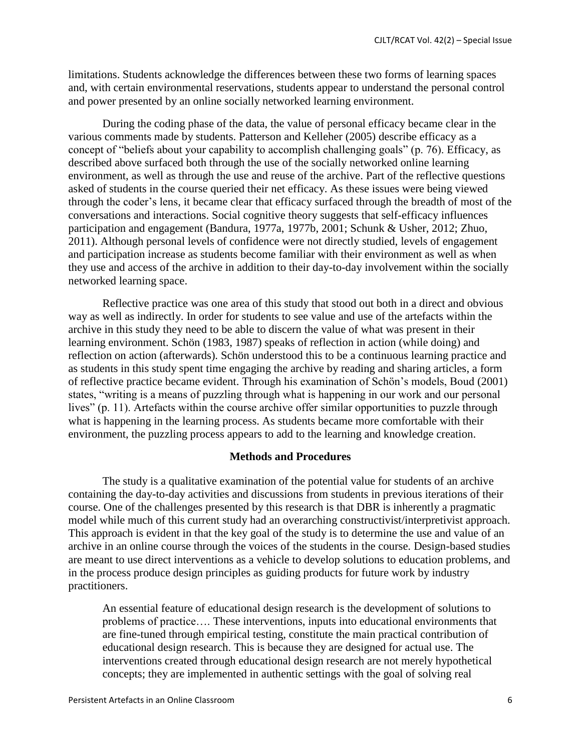limitations. Students acknowledge the differences between these two forms of learning spaces and, with certain environmental reservations, students appear to understand the personal control and power presented by an online socially networked learning environment.

During the coding phase of the data, the value of personal efficacy became clear in the various comments made by students. Patterson and Kelleher (2005) describe efficacy as a concept of "beliefs about your capability to accomplish challenging goals" (p. 76). Efficacy, as described above surfaced both through the use of the socially networked online learning environment, as well as through the use and reuse of the archive. Part of the reflective questions asked of students in the course queried their net efficacy. As these issues were being viewed through the coder's lens, it became clear that efficacy surfaced through the breadth of most of the conversations and interactions. Social cognitive theory suggests that self-efficacy influences participation and engagement (Bandura, 1977a, 1977b, 2001; Schunk & Usher, 2012; Zhuo, 2011). Although personal levels of confidence were not directly studied, levels of engagement and participation increase as students become familiar with their environment as well as when they use and access of the archive in addition to their day-to-day involvement within the socially networked learning space.

Reflective practice was one area of this study that stood out both in a direct and obvious way as well as indirectly. In order for students to see value and use of the artefacts within the archive in this study they need to be able to discern the value of what was present in their learning environment. Schön (1983, 1987) speaks of reflection in action (while doing) and reflection on action (afterwards). Schön understood this to be a continuous learning practice and as students in this study spent time engaging the archive by reading and sharing articles, a form of reflective practice became evident. Through his examination of Schön's models, Boud (2001) states, "writing is a means of puzzling through what is happening in our work and our personal lives" (p. 11). Artefacts within the course archive offer similar opportunities to puzzle through what is happening in the learning process. As students became more comfortable with their environment, the puzzling process appears to add to the learning and knowledge creation.

#### **Methods and Procedures**

The study is a qualitative examination of the potential value for students of an archive containing the day-to-day activities and discussions from students in previous iterations of their course. One of the challenges presented by this research is that DBR is inherently a pragmatic model while much of this current study had an overarching constructivist/interpretivist approach. This approach is evident in that the key goal of the study is to determine the use and value of an archive in an online course through the voices of the students in the course. Design-based studies are meant to use direct interventions as a vehicle to develop solutions to education problems, and in the process produce design principles as guiding products for future work by industry practitioners.

An essential feature of educational design research is the development of solutions to problems of practice…. These interventions, inputs into educational environments that are fine-tuned through empirical testing, constitute the main practical contribution of educational design research. This is because they are designed for actual use. The interventions created through educational design research are not merely hypothetical concepts; they are implemented in authentic settings with the goal of solving real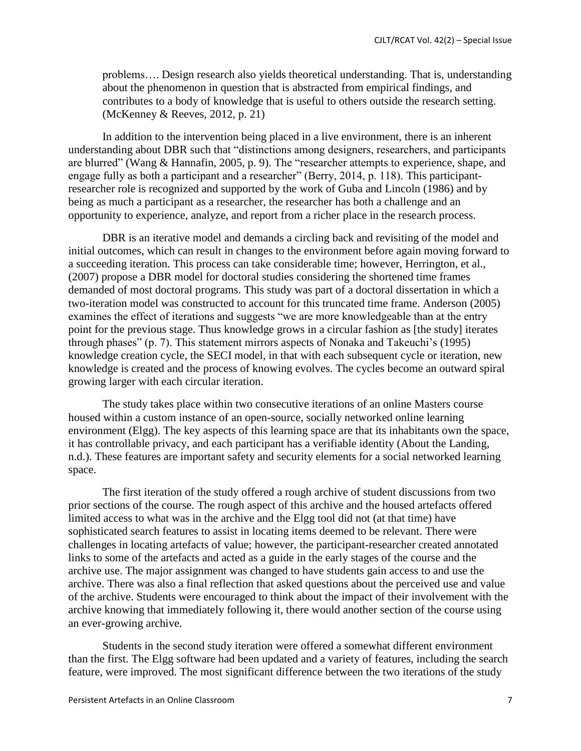problems…. Design research also yields theoretical understanding. That is, understanding about the phenomenon in question that is abstracted from empirical findings, and contributes to a body of knowledge that is useful to others outside the research setting. (McKenney & Reeves, 2012, p. 21)

In addition to the intervention being placed in a live environment, there is an inherent understanding about DBR such that "distinctions among designers, researchers, and participants are blurred" (Wang & Hannafin, 2005, p. 9). The "researcher attempts to experience, shape, and engage fully as both a participant and a researcher" (Berry, 2014, p. 118). This participantresearcher role is recognized and supported by the work of Guba and Lincoln (1986) and by being as much a participant as a researcher, the researcher has both a challenge and an opportunity to experience, analyze, and report from a richer place in the research process.

DBR is an iterative model and demands a circling back and revisiting of the model and initial outcomes, which can result in changes to the environment before again moving forward to a succeeding iteration. This process can take considerable time; however, Herrington, et al., (2007) propose a DBR model for doctoral studies considering the shortened time frames demanded of most doctoral programs. This study was part of a doctoral dissertation in which a two-iteration model was constructed to account for this truncated time frame. Anderson (2005) examines the effect of iterations and suggests "we are more knowledgeable than at the entry point for the previous stage. Thus knowledge grows in a circular fashion as [the study] iterates through phases" (p. 7). This statement mirrors aspects of Nonaka and Takeuchi's (1995) knowledge creation cycle, the SECI model, in that with each subsequent cycle or iteration, new knowledge is created and the process of knowing evolves. The cycles become an outward spiral growing larger with each circular iteration.

The study takes place within two consecutive iterations of an online Masters course housed within a custom instance of an open-source, socially networked online learning environment (Elgg). The key aspects of this learning space are that its inhabitants own the space, it has controllable privacy, and each participant has a verifiable identity (About the Landing, n.d.). These features are important safety and security elements for a social networked learning space.

The first iteration of the study offered a rough archive of student discussions from two prior sections of the course. The rough aspect of this archive and the housed artefacts offered limited access to what was in the archive and the Elgg tool did not (at that time) have sophisticated search features to assist in locating items deemed to be relevant. There were challenges in locating artefacts of value; however, the participant-researcher created annotated links to some of the artefacts and acted as a guide in the early stages of the course and the archive use. The major assignment was changed to have students gain access to and use the archive. There was also a final reflection that asked questions about the perceived use and value of the archive. Students were encouraged to think about the impact of their involvement with the archive knowing that immediately following it, there would another section of the course using an ever-growing archive.

Students in the second study iteration were offered a somewhat different environment than the first. The Elgg software had been updated and a variety of features, including the search feature, were improved. The most significant difference between the two iterations of the study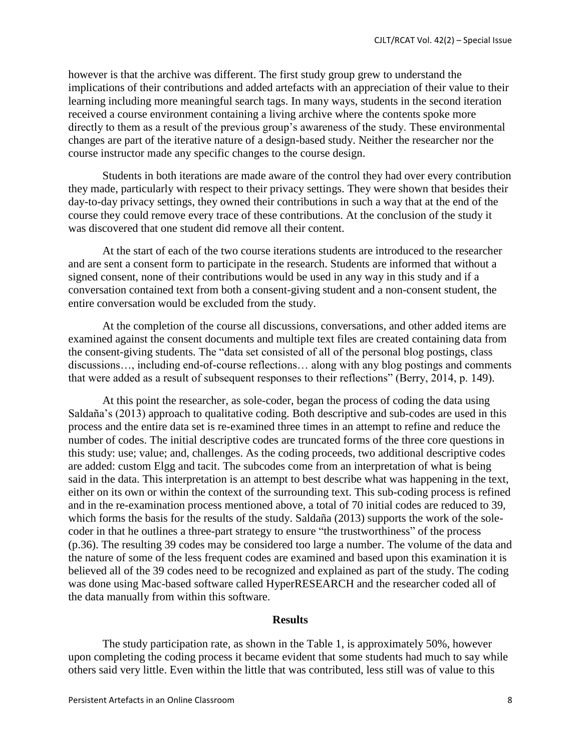however is that the archive was different. The first study group grew to understand the implications of their contributions and added artefacts with an appreciation of their value to their learning including more meaningful search tags. In many ways, students in the second iteration received a course environment containing a living archive where the contents spoke more directly to them as a result of the previous group's awareness of the study. These environmental changes are part of the iterative nature of a design-based study. Neither the researcher nor the course instructor made any specific changes to the course design.

Students in both iterations are made aware of the control they had over every contribution they made, particularly with respect to their privacy settings. They were shown that besides their day-to-day privacy settings, they owned their contributions in such a way that at the end of the course they could remove every trace of these contributions. At the conclusion of the study it was discovered that one student did remove all their content.

At the start of each of the two course iterations students are introduced to the researcher and are sent a consent form to participate in the research. Students are informed that without a signed consent, none of their contributions would be used in any way in this study and if a conversation contained text from both a consent-giving student and a non-consent student, the entire conversation would be excluded from the study.

At the completion of the course all discussions, conversations, and other added items are examined against the consent documents and multiple text files are created containing data from the consent-giving students. The "data set consisted of all of the personal blog postings, class discussions…, including end-of-course reflections… along with any blog postings and comments that were added as a result of subsequent responses to their reflections" (Berry, 2014, p. 149).

At this point the researcher, as sole-coder, began the process of coding the data using Saldaña's (2013) approach to qualitative coding. Both descriptive and sub-codes are used in this process and the entire data set is re-examined three times in an attempt to refine and reduce the number of codes. The initial descriptive codes are truncated forms of the three core questions in this study: use; value; and, challenges. As the coding proceeds, two additional descriptive codes are added: custom Elgg and tacit. The subcodes come from an interpretation of what is being said in the data. This interpretation is an attempt to best describe what was happening in the text, either on its own or within the context of the surrounding text. This sub-coding process is refined and in the re-examination process mentioned above, a total of 70 initial codes are reduced to 39, which forms the basis for the results of the study. Saldaña (2013) supports the work of the solecoder in that he outlines a three-part strategy to ensure "the trustworthiness" of the process (p.36). The resulting 39 codes may be considered too large a number. The volume of the data and the nature of some of the less frequent codes are examined and based upon this examination it is believed all of the 39 codes need to be recognized and explained as part of the study. The coding was done using Mac-based software called HyperRESEARCH and the researcher coded all of the data manually from within this software.

### **Results**

The study participation rate, as shown in the Table 1, is approximately 50%, however upon completing the coding process it became evident that some students had much to say while others said very little. Even within the little that was contributed, less still was of value to this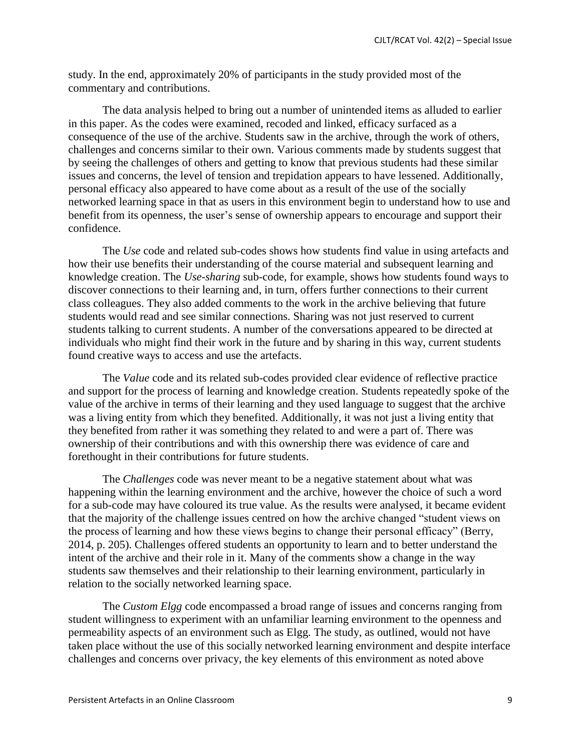study. In the end, approximately 20% of participants in the study provided most of the commentary and contributions.

The data analysis helped to bring out a number of unintended items as alluded to earlier in this paper. As the codes were examined, recoded and linked, efficacy surfaced as a consequence of the use of the archive. Students saw in the archive, through the work of others, challenges and concerns similar to their own. Various comments made by students suggest that by seeing the challenges of others and getting to know that previous students had these similar issues and concerns, the level of tension and trepidation appears to have lessened. Additionally, personal efficacy also appeared to have come about as a result of the use of the socially networked learning space in that as users in this environment begin to understand how to use and benefit from its openness, the user's sense of ownership appears to encourage and support their confidence.

The *Use* code and related sub-codes shows how students find value in using artefacts and how their use benefits their understanding of the course material and subsequent learning and knowledge creation. The *Use-sharing* sub-code, for example, shows how students found ways to discover connections to their learning and, in turn, offers further connections to their current class colleagues. They also added comments to the work in the archive believing that future students would read and see similar connections. Sharing was not just reserved to current students talking to current students. A number of the conversations appeared to be directed at individuals who might find their work in the future and by sharing in this way, current students found creative ways to access and use the artefacts.

The *Value* code and its related sub-codes provided clear evidence of reflective practice and support for the process of learning and knowledge creation. Students repeatedly spoke of the value of the archive in terms of their learning and they used language to suggest that the archive was a living entity from which they benefited. Additionally, it was not just a living entity that they benefited from rather it was something they related to and were a part of. There was ownership of their contributions and with this ownership there was evidence of care and forethought in their contributions for future students.

The *Challenges* code was never meant to be a negative statement about what was happening within the learning environment and the archive, however the choice of such a word for a sub-code may have coloured its true value. As the results were analysed, it became evident that the majority of the challenge issues centred on how the archive changed "student views on the process of learning and how these views begins to change their personal efficacy" (Berry, 2014, p. 205). Challenges offered students an opportunity to learn and to better understand the intent of the archive and their role in it. Many of the comments show a change in the way students saw themselves and their relationship to their learning environment, particularly in relation to the socially networked learning space.

The *Custom Elgg* code encompassed a broad range of issues and concerns ranging from student willingness to experiment with an unfamiliar learning environment to the openness and permeability aspects of an environment such as Elgg. The study, as outlined, would not have taken place without the use of this socially networked learning environment and despite interface challenges and concerns over privacy, the key elements of this environment as noted above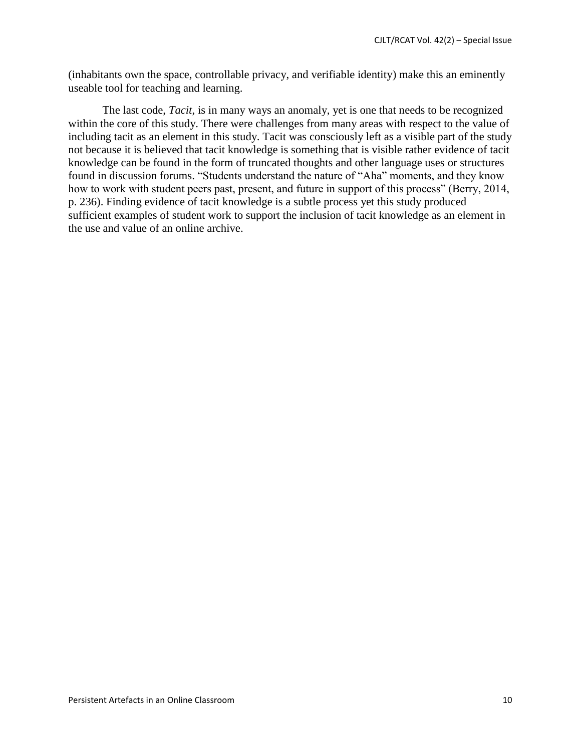(inhabitants own the space, controllable privacy, and verifiable identity) make this an eminently useable tool for teaching and learning.

The last code, *Tacit*, is in many ways an anomaly, yet is one that needs to be recognized within the core of this study. There were challenges from many areas with respect to the value of including tacit as an element in this study. Tacit was consciously left as a visible part of the study not because it is believed that tacit knowledge is something that is visible rather evidence of tacit knowledge can be found in the form of truncated thoughts and other language uses or structures found in discussion forums. "Students understand the nature of "Aha" moments, and they know how to work with student peers past, present, and future in support of this process" (Berry, 2014, p. 236). Finding evidence of tacit knowledge is a subtle process yet this study produced sufficient examples of student work to support the inclusion of tacit knowledge as an element in the use and value of an online archive.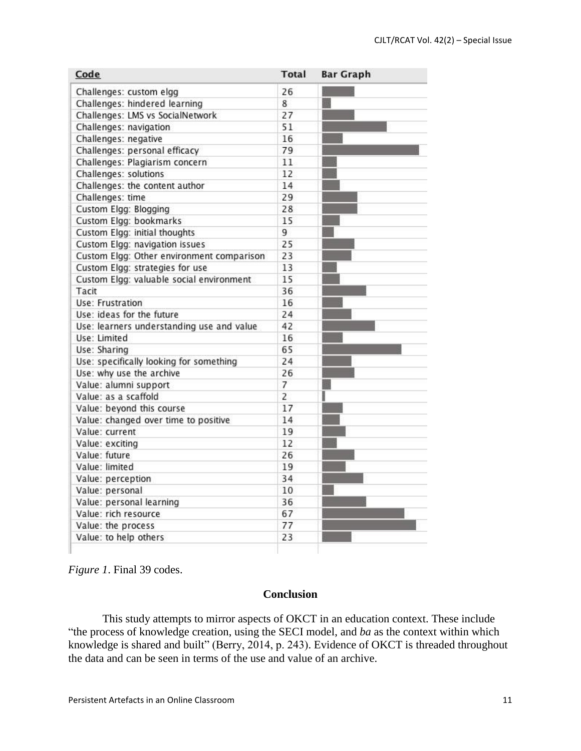| Code                                      | <b>Total</b>   | <b>Bar Graph</b> |
|-------------------------------------------|----------------|------------------|
| Challenges: custom elgg                   | 26             |                  |
| Challenges: hindered learning             | 8              |                  |
| Challenges: LMS vs SocialNetwork          | 27             |                  |
| Challenges: navigation                    | 51             |                  |
| Challenges: negative                      | 16             |                  |
| Challenges: personal efficacy             | 79             |                  |
| Challenges: Plagiarism concern            | 11             |                  |
| Challenges: solutions                     | 12             |                  |
| Challenges: the content author            | 14             |                  |
| Challenges: time                          | 29             |                  |
| Custom Elgg: Blogging                     | 28             |                  |
| Custom Elgg: bookmarks                    | 15             |                  |
| Custom Elgg: initial thoughts             | 9              |                  |
| Custom Elgg: navigation issues            | 25             |                  |
| Custom Elgg: Other environment comparison | 23             |                  |
| Custom Elgg: strategies for use           | 13             |                  |
| Custom Elgg: valuable social environment  | 15             |                  |
| Tacit                                     | 36             |                  |
| Use: Frustration                          | 16             |                  |
| Use: ideas for the future                 | 24             |                  |
| Use: learners understanding use and value | 42             |                  |
| Use: Limited                              | 16             |                  |
| Use: Sharing                              | 65             |                  |
| Use: specifically looking for something   | 24             |                  |
| Use: why use the archive                  | 26             |                  |
| Value: alumni support                     | $\overline{7}$ |                  |
| Value: as a scaffold                      | $\overline{2}$ |                  |
| Value: beyond this course                 | 17             |                  |
| Value: changed over time to positive      | 14             |                  |
| Value: current                            | 19             |                  |
| Value: exciting                           | 12             |                  |
| Value: future                             | 26             |                  |
| Value: limited                            | 19             |                  |
| Value: perception                         | 34             |                  |
| Value: personal                           | 10             |                  |
| Value: personal learning                  | 36             |                  |
| Value: rich resource                      | 67             |                  |
| Value: the process                        | 77             |                  |
| Value: to help others                     | 23             |                  |

*Figure 1*. Final 39 codes.

# **Conclusion**

This study attempts to mirror aspects of OKCT in an education context. These include "the process of knowledge creation, using the SECI model, and *ba* as the context within which knowledge is shared and built" (Berry, 2014, p. 243). Evidence of OKCT is threaded throughout the data and can be seen in terms of the use and value of an archive.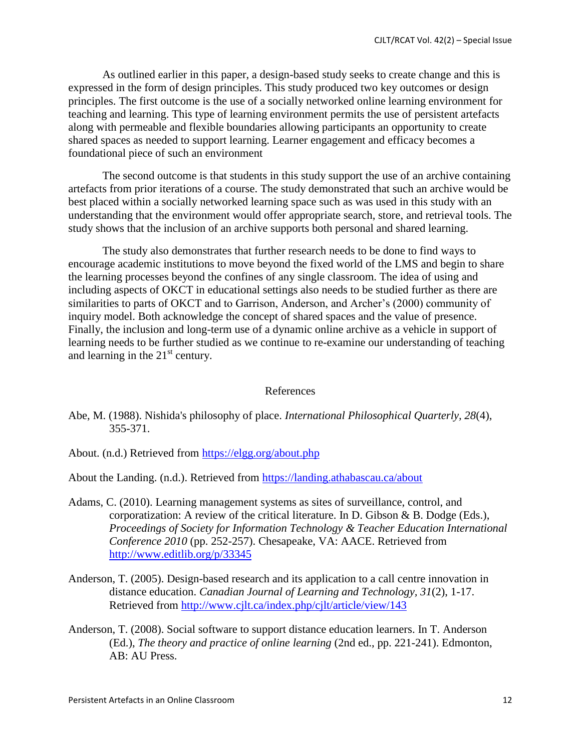As outlined earlier in this paper, a design-based study seeks to create change and this is expressed in the form of design principles. This study produced two key outcomes or design principles. The first outcome is the use of a socially networked online learning environment for teaching and learning. This type of learning environment permits the use of persistent artefacts along with permeable and flexible boundaries allowing participants an opportunity to create shared spaces as needed to support learning. Learner engagement and efficacy becomes a foundational piece of such an environment

The second outcome is that students in this study support the use of an archive containing artefacts from prior iterations of a course. The study demonstrated that such an archive would be best placed within a socially networked learning space such as was used in this study with an understanding that the environment would offer appropriate search, store, and retrieval tools. The study shows that the inclusion of an archive supports both personal and shared learning.

The study also demonstrates that further research needs to be done to find ways to encourage academic institutions to move beyond the fixed world of the LMS and begin to share the learning processes beyond the confines of any single classroom. The idea of using and including aspects of OKCT in educational settings also needs to be studied further as there are similarities to parts of OKCT and to Garrison, Anderson, and Archer's (2000) community of inquiry model. Both acknowledge the concept of shared spaces and the value of presence. Finally, the inclusion and long-term use of a dynamic online archive as a vehicle in support of learning needs to be further studied as we continue to re-examine our understanding of teaching and learning in the  $21<sup>st</sup>$  century.

#### References

- Abe, M. (1988). Nishida's philosophy of place. *International Philosophical Quarterly, 28*(4), 355-371.
- About. (n.d.) Retrieved from<https://elgg.org/about.php>
- About the Landing. (n.d.). Retrieved from<https://landing.athabascau.ca/about>
- Adams, C. (2010). Learning management systems as sites of surveillance, control, and corporatization: A review of the critical literature. In D. Gibson & B. Dodge (Eds.), *Proceedings of Society for Information Technology & Teacher Education International Conference 2010* (pp. 252-257). Chesapeake, VA: AACE. Retrieved from <http://www.editlib.org/p/33345>
- Anderson, T. (2005). Design-based research and its application to a call centre innovation in distance education. *Canadian Journal of Learning and Technology, 31*(2), 1-17. Retrieved from<http://www.cjlt.ca/index.php/cjlt/article/view/143>
- Anderson, T. (2008). Social software to support distance education learners. In T. Anderson (Ed.), *The theory and practice of online learning* (2nd ed., pp. 221-241). Edmonton, AB: AU Press.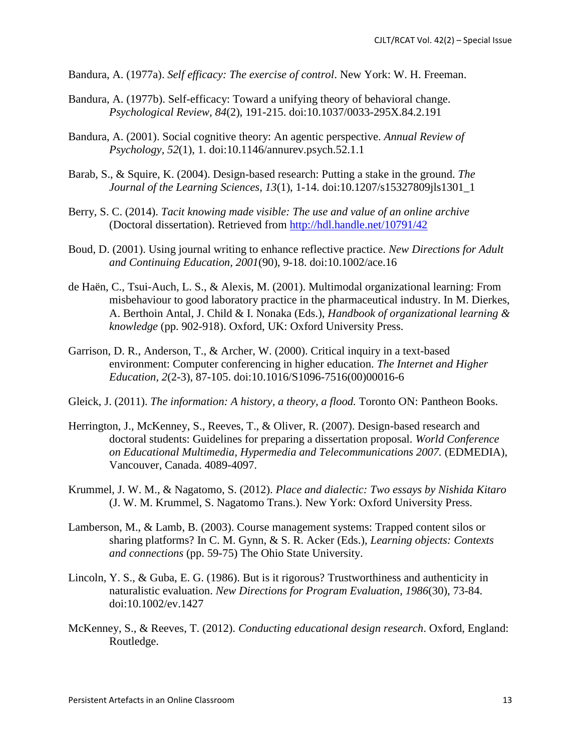Bandura, A. (1977a). *Self efficacy: The exercise of control*. New York: W. H. Freeman.

- Bandura, A. (1977b). Self-efficacy: Toward a unifying theory of behavioral change. *Psychological Review, 84*(2), 191-215. doi:10.1037/0033-295X.84.2.191
- Bandura, A. (2001). Social cognitive theory: An agentic perspective. *Annual Review of Psychology, 52*(1), 1. doi:10.1146/annurev.psych.52.1.1
- Barab, S., & Squire, K. (2004). Design-based research: Putting a stake in the ground. *The Journal of the Learning Sciences, 13*(1), 1-14. doi:10.1207/s15327809jls1301\_1
- Berry, S. C. (2014). *Tacit knowing made visible: The use and value of an online archive* (Doctoral dissertation). Retrieved from<http://hdl.handle.net/10791/42>
- Boud, D. (2001). Using journal writing to enhance reflective practice. *New Directions for Adult and Continuing Education, 2001*(90), 9-18. [doi:10.1002/ace.16](http://dx.doi.org/10.1002/ace.16)
- de Haën, C., Tsui-Auch, L. S., & Alexis, M. (2001). Multimodal organizational learning: From misbehaviour to good laboratory practice in the pharmaceutical industry. In M. Dierkes, A. Berthoin Antal, J. Child & I. Nonaka (Eds.), *Handbook of organizational learning & knowledge* (pp. 902-918). Oxford, UK: Oxford University Press.
- Garrison, D. R., Anderson, T., & Archer, W. (2000). Critical inquiry in a text-based environment: Computer conferencing in higher education. *The Internet and Higher Education, 2*(2-3), 87-105. doi:10.1016/S1096-7516(00)00016-6
- Gleick, J. (2011). *The information: A history, a theory, a flood.* Toronto ON: Pantheon Books.
- Herrington, J., McKenney, S., Reeves, T., & Oliver, R. (2007). Design-based research and doctoral students: Guidelines for preparing a dissertation proposal. *World Conference on Educational Multimedia, Hypermedia and Telecommunications 2007.* (EDMEDIA), Vancouver, Canada. 4089-4097.
- Krummel, J. W. M., & Nagatomo, S. (2012). *Place and dialectic: Two essays by Nishida Kitaro* (J. W. M. Krummel, S. Nagatomo Trans.). New York: Oxford University Press.
- Lamberson, M., & Lamb, B. (2003). Course management systems: Trapped content silos or sharing platforms? In C. M. Gynn, & S. R. Acker (Eds.), *Learning objects: Contexts and connections* (pp. 59-75) The Ohio State University.
- Lincoln, Y. S., & Guba, E. G. (1986). But is it rigorous? Trustworthiness and authenticity in naturalistic evaluation. *New Directions for Program Evaluation, 1986*(30), 73-84. doi:10.1002/ev.1427
- McKenney, S., & Reeves, T. (2012). *Conducting educational design research*. Oxford, England: Routledge.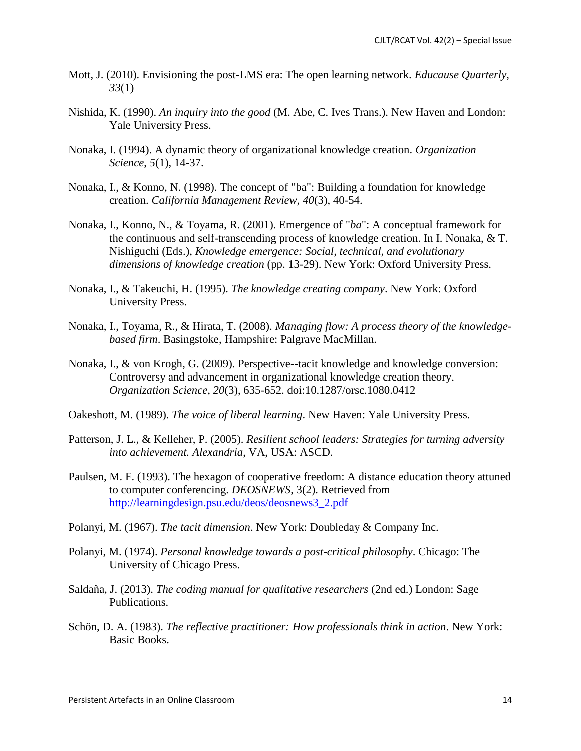- Mott, J. (2010). Envisioning the post-LMS era: The open learning network. *Educause Quarterly, 33*(1)
- Nishida, K. (1990). *An inquiry into the good* (M. Abe, C. Ives Trans.). New Haven and London: Yale University Press.
- Nonaka, I. (1994). A dynamic theory of organizational knowledge creation. *Organization Science*, *5*(1), 14-37.
- Nonaka, I., & Konno, N. (1998). The concept of "ba": Building a foundation for knowledge creation. *California Management Review, 40*(3), 40-54.
- Nonaka, I., Konno, N., & Toyama, R. (2001). Emergence of "*ba*": A conceptual framework for the continuous and self-transcending process of knowledge creation. In I. Nonaka, & T. Nishiguchi (Eds.), *Knowledge emergence: Social, technical, and evolutionary dimensions of knowledge creation* (pp. 13-29). New York: Oxford University Press.
- Nonaka, I., & Takeuchi, H. (1995). *The knowledge creating company*. New York: Oxford University Press.
- Nonaka, I., Toyama, R., & Hirata, T. (2008). *Managing flow: A process theory of the knowledgebased firm*. Basingstoke, Hampshire: Palgrave MacMillan.
- Nonaka, I., & von Krogh, G. (2009). Perspective--tacit knowledge and knowledge conversion: Controversy and advancement in organizational knowledge creation theory. *Organization Science, 20*(3), 635-652. doi:10.1287/orsc.1080.0412
- Oakeshott, M. (1989). *The voice of liberal learning*. New Haven: Yale University Press.
- Patterson, J. L., & Kelleher, P. (2005). *Resilient school leaders: Strategies for turning adversity into achievement. Alexandria*, VA, USA: ASCD.
- Paulsen, M. F. (1993). The hexagon of cooperative freedom: A distance education theory attuned to computer conferencing. *DEOSNEWS*, 3(2). Retrieved from [http://learningdesign.psu.edu/deos/deosnews3\\_2.pdf](http://learningdesign.psu.edu/deos/deosnews3_2.pdf)
- Polanyi, M. (1967). *The tacit dimension*. New York: Doubleday & Company Inc.
- Polanyi, M. (1974). *Personal knowledge towards a post-critical philosophy*. Chicago: The University of Chicago Press.
- Saldaña, J. (2013). *The coding manual for qualitative researchers* (2nd ed.) London: Sage Publications.
- Schön, D. A. (1983). *The reflective practitioner: How professionals think in action*. New York: Basic Books.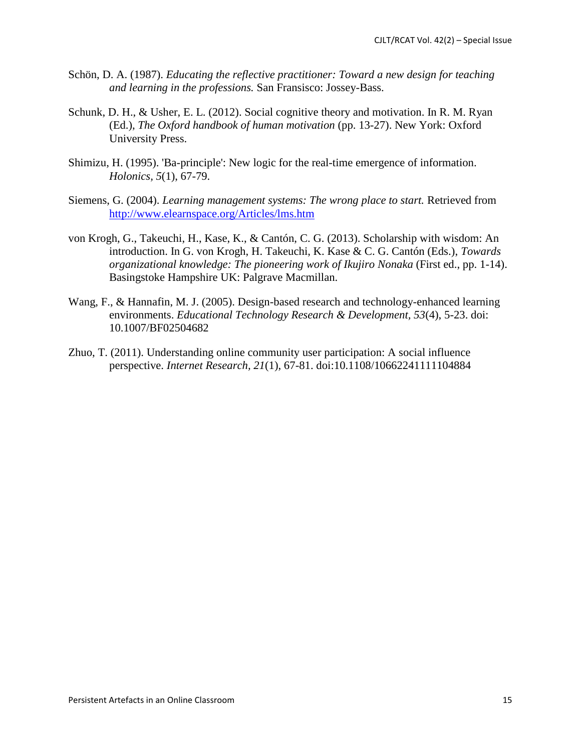- Schön, D. A. (1987). *Educating the reflective practitioner: Toward a new design for teaching and learning in the professions.* San Fransisco: Jossey-Bass.
- Schunk, D. H., & Usher, E. L. (2012). Social cognitive theory and motivation. In R. M. Ryan (Ed.), *The Oxford handbook of human motivation* (pp. 13-27). New York: Oxford University Press.
- Shimizu, H. (1995). 'Ba-principle': New logic for the real-time emergence of information. *Holonics, 5*(1), 67-79.
- Siemens, G. (2004). *Learning management systems: The wrong place to start.* Retrieved from <http://www.elearnspace.org/Articles/lms.htm>
- von Krogh, G., Takeuchi, H., Kase, K., & Cantón, C. G. (2013). Scholarship with wisdom: An introduction. In G. von Krogh, H. Takeuchi, K. Kase & C. G. Cantón (Eds.), *Towards organizational knowledge: The pioneering work of Ikujiro Nonaka* (First ed., pp. 1-14). Basingstoke Hampshire UK: Palgrave Macmillan.
- Wang, F., & Hannafin, M. J. (2005). Design-based research and technology-enhanced learning environments. *Educational Technology Research & Development, 53*(4), 5-23. doi: 10.1007/BF02504682
- Zhuo, T. (2011). Understanding online community user participation: A social influence perspective. *Internet Research, 21*(1), 67-81. doi:10.1108/10662241111104884